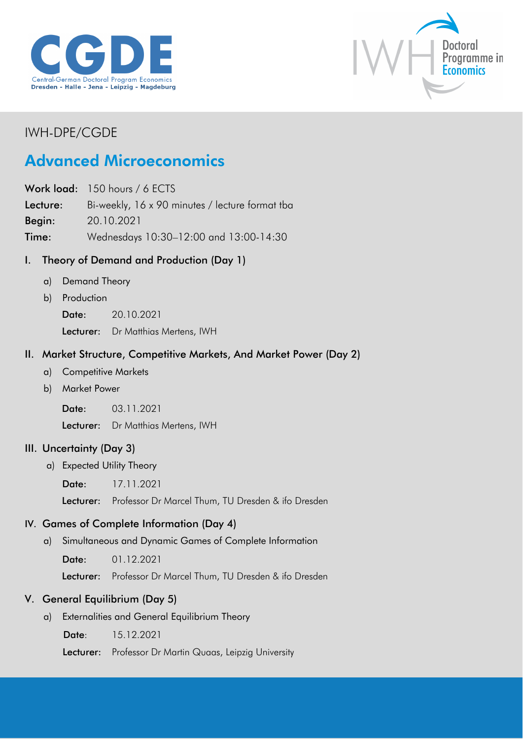



## IWH-DPE/CGDE

# Advanced Microeconomics

Work load: 150 hours / 6 ECTS

Lecture: Bi-weekly, 16 x 90 minutes / lecture format tba

Begin: 20.10.2021

Time: Wednesdays 10:30–12:00 and 13:00-14:30

## I. Theory of Demand and Production (Day 1)

- a) Demand Theory
- b) Production
	- Date: 20.10.2021

Lecturer: Dr Matthias Mertens, IWH

#### II. Market Structure, Competitive Markets, And Market Power (Day 2)

- a) Competitive Markets
- b) Market Power

Date: 03.11.2021

Lecturer: Dr Matthias Mertens, IWH

#### III. Uncertainty (Day 3)

a) Expected Utility Theory

Date: 17.11.2021

Lecturer: Professor Dr Marcel Thum, TU Dresden & ifo Dresden

#### IV. Games of Complete Information (Day 4)

a) Simultaneous and Dynamic Games of Complete Information

Date: 01.12.2021

Lecturer: Professor Dr Marcel Thum, TU Dresden & ifo Dresden

#### V. General Equilibrium (Day 5)

a) Externalities and General Equilibrium Theory

Date: 15.12.2021

Lecturer: Professor Dr Martin Quaas, Leipzig University